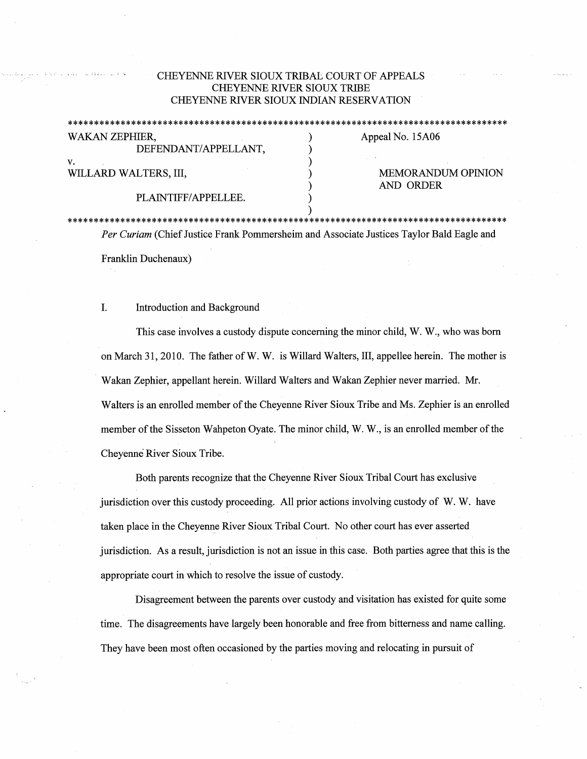## CHEYENNE RIVER SIOUX TRIBAL COURT OF APPEALS CHEYENNE RIVER SIOUX TRIBE CHEYENNE RIVER SIOUX INDIAN RESERVATION

\*\*\*\*\*\*\*\*\*\*\*\*\*\*\*\*\*\*\*\*\*\*\*\*\*\*\*\*\*\*\*\*\*\*\*\*\*\*\*\*\*\*\*\*\*\*\*\*\*\*\*\*\*\*\*\*\*\*\*\*\*\*\*\*\*\*\*\*\*\*\*\*\*\*\*\*\*\*\*\*\*\*\*\*

| WAKAN ZEPHIER,        | Appeal No. 15A06          |
|-----------------------|---------------------------|
| DEFENDANT/APPELLANT,  |                           |
| v.                    |                           |
| WILLARD WALTERS, III, | <b>MEMORANDUM OPINION</b> |
|                       | AND ORDER                 |
| PLAINTIFF/APPELLEE.   |                           |
|                       |                           |

\*\*\*\*\*\*\*\*\*\*\*\*\*\*\*\*\*\*\*\*\*\*\*\*\*\*\*\*\*\*\*\*\*\*\*\*\*\*\*\*\*\*\*\*\*\*\*\*\*\*\*\*\*\*\*\*\*\*\*\*\*\*\*\*\*\*\*\*\*\*\*\*\*\*\*\*\*\*\*\*\*\*\*\* *Per Curiam* (Chief Justice Frank Pommersheim and Associate Justices Taylor Bald Eagle and Franklin Duchenaux)

## I. Introduction and Background

This case involves a custody dispute concerning the minor child, W. W., who was born on March 31, 2010. The father of W. W. is Willard Walters, III, appellee herein. The mother is Wakan Zephier, appellant herein. Willard Walters and Wakan Zephier never married. Mr. Walters is an enrolled member of the Cheyenne River Sioux Tribe and Ms. Zephier is an enrolled member of the Sisseton Wahpeton Oyate. The minor child, W.W., is an enrolled member of the Cheyenne River Sioux Tribe.

Both parents recognize that the Cheyenne River Sioux Tribal Court has exclusive jurisdiction over this custody proceeding. All prior actions involving custody of W.W. have taken place in the Cheyenne River Sioux Tribal Court. No other court has ever asserted jurisdiction. As a result, jurisdiction is not an issue in this case. Both parties agree that this is the appropriate court in which to resolve the issue of custody.

Disagreement between the parents over custody and visitation has existed for quite some time. The disagreements have largely been honorable and free from bitterness and name calling. They have been most often occasioned by the parties moving and relocating in pursuit of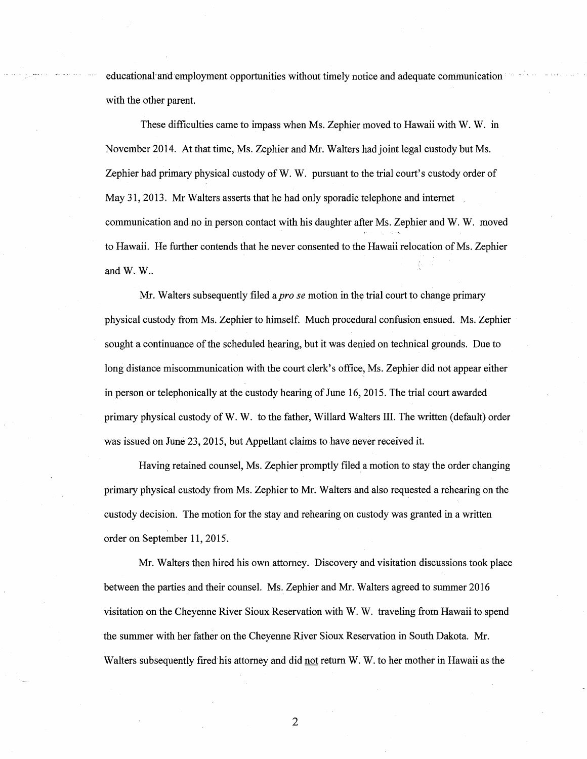educational and employment opportunities without timely notice and adequate communication with the other parent.

These difficulties came to impass when Ms. Zephier moved to Hawaii with W. W. in November 2014. At that time, Ms. Zephier and Mr. Walters had joint legal custody but Ms. Zephier had primary physical custody of W.W. pursuant to the trial court's custody order of May 31, 2013. Mr Walters asserts that he had only sporadic telephone and internet communication and no in person contact with his daughter after Ms. Zephier and W. W. moved to Hawaii. He further contends that he never consented to the Hawaii relocation of Ms. Zephier and  $W$ .  $W$ ..

Mr. Walters subsequently filed a *pro se* motion in the trial court to change primary physical custody from Ms. Zephier to himself. Much procedural confusi\_on ensued. Ms. Zephier sought a continuance of the scheduled hearing, but it was denied on technical grounds. Due to long distance miscommunication with the court clerk's office, Ms. Zephier did not appear either in person or telephonically at the custody hearing of June 16, 2015. The trial court awarded primary physical custody of W.W. to the father, Willard Walters III. The written (default) order was issued on June 23, 2015, but Appellant claims to have never received it.

Having retained counsel, Ms. Zephier promptly filed a motion to stay the order changing primary physical custody from Ms. Zephier to Mr. Walters and also requested a rehearing on the custody decision. The motion for the stay and rehearing on custody was granted in a written order on September 11, 2015.

Mr. Walters then hired his own attorney. Discovery and visitation discussions took place between the parties and their counsel. Ms. Zephier and Mr. Walters agreed to summer 2016 visitation on the Cheyenne River Sioux Reservation with W.W. traveling from Hawaii to spend the summer with her father on the Cheyenne River Sioux Reservation in South Dakota. Mr. Walters subsequently fired his attorney and did not return W.W. to her mother in Hawaii as the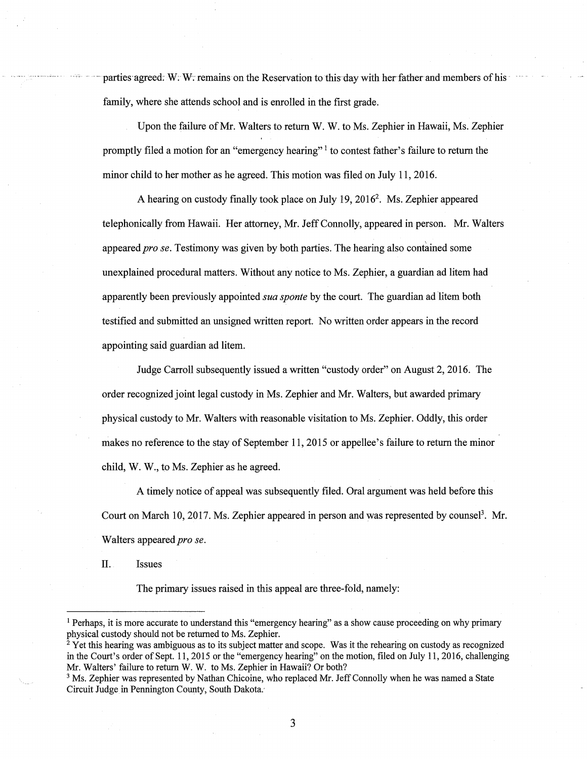parties agreed. W: W: remains on the Reservation to this day with her father and members of his family, where she attends school and is enrolled in the first grade.

Upon the failure of Mr. Walters to return W.W. to Ms. Zephier in Hawaii, Ms. Zephier promptly filed a motion for an "emergency hearing" 1 to contest father's failure to return the minor child to her mother as he agreed. This motion was filed on July 11, 2016.

A hearing on custody finally took place on July 19, 2016<sup>2</sup>. Ms. Zephier appeared telephonically from Hawaii. Her attorney, Mr. Jeff Connolly, appeared in person. Mr. Walters appeared *prose.* Testimony was given by both parties. The hearing also contained some unexplained procedural matters. Without any notice to Ms. Zephier, a guardian ad litem had apparently been previously appointed *sua sponte* by the court. The guardian ad litem both testified and submitted an unsigned written report. No written order appears in the record appointing said guardian ad litem.

Judge Carroll subsequently issued a written "custody order" on August 2, 2016. The order recognized joint legal custody in Ms. Zephier and Mr. Walters, but awarded primary physical custody to Mr. Walters with reasonable visitation to Ms. Zephier. Oddly, this order makes no reference to the stay of September 11, 2015 or appellee's failure to return the minor child, W. W., to Ms. Zephier as he agreed.

A timely notice of appeal was subsequently filed. Oral argument was held before this Court on March 10, 2017. Ms. Zephier appeared in person and was represented by counsel<sup>3</sup>. Mr. Walters appeared *pro se*.

II. Issues

The primary issues raised in this appeal are three-fold, namely:

<sup>&</sup>lt;sup>1</sup> Perhaps, it is more accurate to understand this "emergency hearing" as a show cause proceeding on why primary physical custody should not be returned to Ms. Zephier.

 $2$  Yet this hearing was ambiguous as to its subject matter and scope. Was it the rehearing on custody as recognized in the Court's order of Sept. 11, 2015 or the "emergency hearing" on the motion, filed on July 11, 2016, challenging Mr. Walters' failure to return W.W. to Ms. Zephier in Hawaii? Or both?

<sup>&</sup>lt;sup>3</sup> Ms. Zephier was represented by Nathan Chicoine, who replaced Mr. Jeff Connolly when he was named a State Circuit Judge in Pennington County, South Dakota: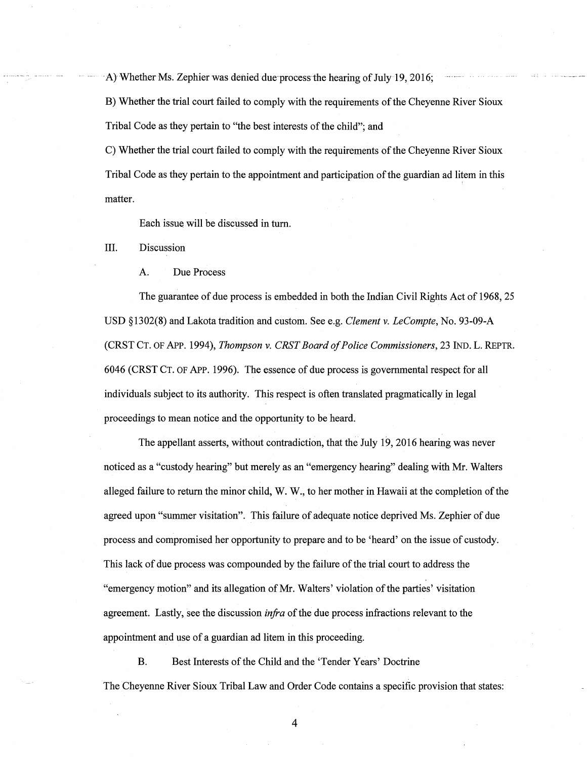A) Whether Ms. Zephier was denied due process the hearing of July 19, 2016;

B) Whether the trial court failed to comply with the requirements of the Cheyenne River Sioux Tribal Code as they pertain to "the best interests of the child"; and

C) Whether the trial court failed to comply with the requirements of the Cheyenne River Sioux Tribal Code as they pertain to the appointment and participation of the guardian ad litem in this matter.

Each issue will be discussed in tum.

III. Discussion

A. Due Process

The guarantee of due process is embedded in both the Indian Civil Rights Act of 1968, 25 USD § 1302(8) and Lakota tradition and custom. See e.g. *Clement v. LeCompte,* No. 93-09-A (CRST CT. OF APP. 1994), *Thompson v. CRST Board of Police Commissioners,* 23 IND. L. REPTR. 6046 (CRST CT. OF APP. 1996). The essence of due process is governmental respect for all individuals subject to its authority. This respect is often translated pragmatically in legal proceedings to mean notice and the opportunity to be heard.

The appellant asserts, without contradiction, that the July 19, 2016 hearing was never noticed as a "custody hearing" but merely as an "emergency hearing" dealing with Mr. Walters alleged failure to return the minor child, W. W., to her mother in Hawaii at the completion of the agreed upon "summer visitation". This failure of adequate notice deprived Ms. Zephier of due process and compromised her opportunity to prepare and to be 'heard' on the issue of custody. This lack of due process was compounded by the failure of the trial court to address the "emergency motion" and its allegation of Mr. Walters' violation of the parties' visitation agreement. Lastly, see the discussion *infra* of the due process infractions relevant to the appointment and use of a guardian ad litem in this proceeding.

B. Best Interests of the Child and the 'Tender Years' Doctrine The Cheyenne River Sioux Tribal Law and Order Code contains a specific provision that states: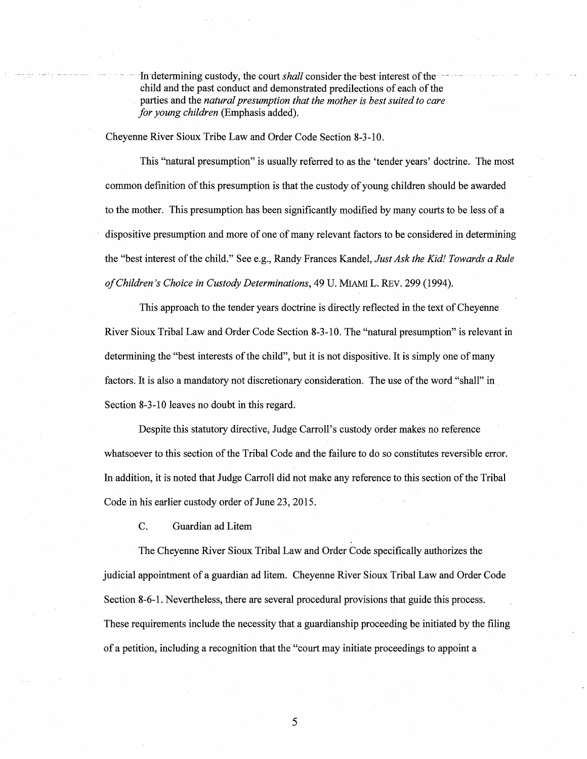In determining custody, the court *shall* consider the best interest of thechild and the past conduct and demonstrated predilections of each of the . parties and the *natural presumption that the mother is best suited to care for young children* (Emphasis added).

Cheyenne River Sioux Tribe Law and Order Code Section 8-3-10.

This "natural presumption" is usually referred to as the 'tender years' doctrine. The most common definition of this presumption is that the custody of young children should be awarded to the mother. This presumption has been significantly modified by many courts to be less of a dispositive presumption and more of one of many relevant factors to be considered in determining the "best interest of the child." See e.g., Randy Frances Kandel, *Just Ask the Kid! Towards a Rule of Children's Choice in Custody Determinations,* 49 U. MIAMI L. REV. 299 (1994).

This approach to the tender years doctrine is directly reflected in the text of Cheyenne River Sioux Tribal Law and Order Code Section 8-3-10. The "natural presumption" is relevant in determining the "best interests of the child", but it is not dispositive. It is simply one of many factors. It is also a mandatory not discretionary consideration. The use of the word "shall" in Section 8-3-10 leaves no doubt in this regard.

Despite this statutory directive, Judge Carroll's custody order makes no reference whatsoever to this section of the Tribal Code and the failure to do so constitutes reversible error. In addition, it is noted that Judge Carroll did not make any reference to this section of the Tribal Code in his earlier custody order of June 23, 2015.

C. Guardian ad Litem

The Cheyenne River Sioux Tribal Law and Order Code specifically authorizes the judicial appointment of a guardian ad litem. Cheyenne River Sioux Tribal Law and Order Code Section 8-6-1. Nevertheless, there are several procedural provisions that guide this process. These requirements include the necessity that a guardianship proceeding be initiated by the filing of a petition, including a recognition that the "court may initiate proceedings to appoint a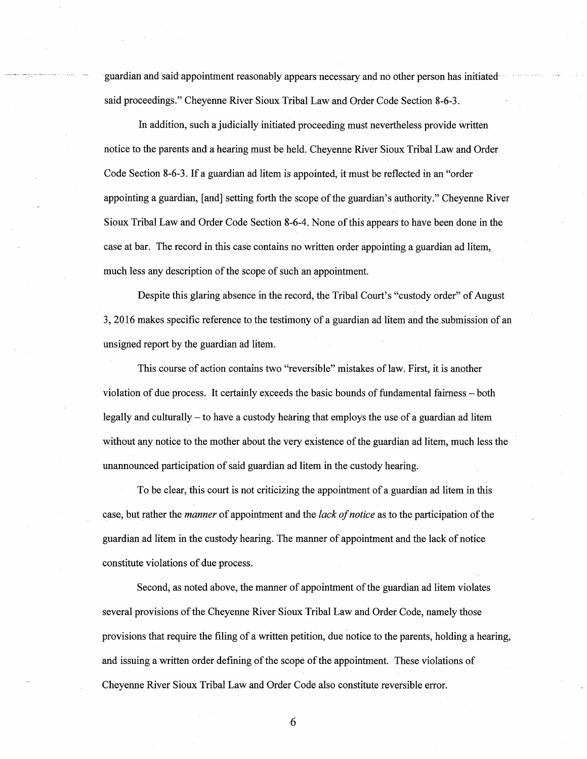guardian and said appointment reasonably appears necessary and no other person has initiated said proceedings." Cheyenne River Sioux Tribal Law and Order Code Section 8-6-3.

In addition, such a judicially initiated proceeding must nevertheless provide written notice to the parents and a hearing must be held. Cheyenne River Sioux Tribal Law and Order Code Section 8-6-3. If a guardian ad litem is appointed, it must be reflected in an "order appointing a guardian, [and] setting forth the scope of the guardian's authority." Cheyenne River Sioux Tribal Law and Order Code Section 8-6-4. None of this appears to have been done in the case at bar. The record in this case contains no written order appointing a guardian ad litem, much less any description of the scope of such an appointment.

Despite this glaring absence in the record, the Tribal Court's "custody order" of August 3, 2016 makes specific reference to the testimony of a guardian ad litem and the submission of an unsigned report by the guardian ad litem.

This course of action contains two "reversible" mistakes of law. First, it is another violation of due process. It certainly exceeds the basic bounds of fundamental fairness - both legally and culturally - to have a custody hearing that employs the use of a guardian ad litem without any notice to the mother about the very existence of the guardian ad litem, much less the unannounced participation of said guardian ad litem in the custody hearing.

To be clear, this court is not criticizing the appointment of a guardian ad litem in this case, but rather the *manner* of appointment and the *lack of notice* as to the participation of the guardian ad litem in the custody hearing. The manner of appointment and the lack of notice constitute violations of due process.

Second, as noted above, the manner of appointment of the guardian ad litem violates several provisions of the Cheyenne River-Sioux Tribal Law and Order Code, namely those provisions that require the filing of a written petition, due notice to the parents, holding a hearing, and issuing a written order defining of the scope of the appointment. These violations of Cheyenne River Sioux Tribal Law and Order Code also constitute reversible error.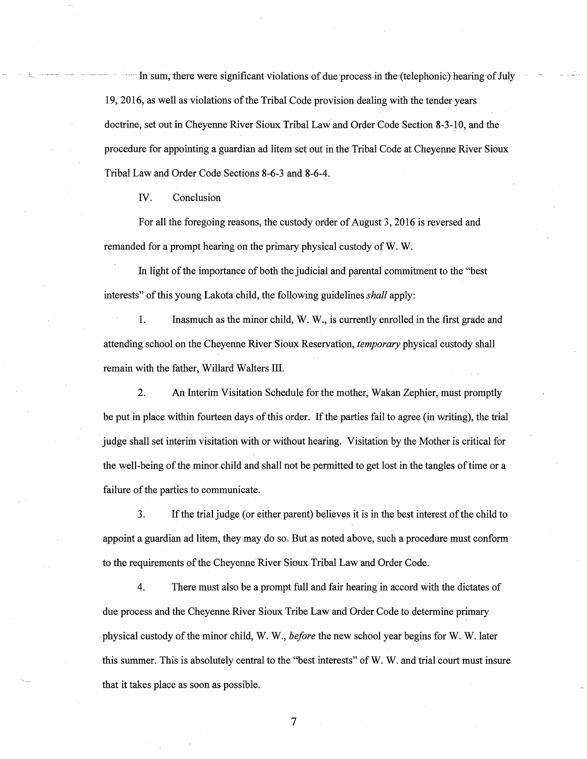In sum, there were significant violations of due process in the (telephonic) hearing of July 19, 2016, as well as violations of the Tribal Code provision dealing with the tender years doctrine, set out in Cheyenne River Sioux Tribal Law and Order Code Section 8-3-10, and the procedure for appointing a guardian ad litem set out in the Tribal Code at Cheyenne River Sioux Tribal Law and Order Code Sections 8-6-3 and 8-6-4.

IV. Conclusion

For all the foregoing reasons, the custody order of August 3, 2016 is reversed and remanded for a prompt hearing on the primary physical custody of **W. W;** 

In light of the importance of both the judicial and parental commitment to the "best interests" of this young Lakota child, the following guidelines *shall* apply:

1. Inasmuch as the minor child, **W. W.,** is currently enrolled in the first grade and attending school on the Cheyenne River Sioux Reservation, *temporary* physical custody shall remain with the father, Willard Walters III.

2. An Interim Visitation Schedule for the mother, Wakan Zephier, must promptly be put in place within fourteen days of this order. If the parties fail to agree (in writing), the trial judge shall set interim visitation with or without hearing. Visitation by the Mother is critical for the well-being of the minor child and shall not be permitted to get lost in the tangles of time or a failure of the parties to communicate.

3. If the trial judge (or either parent) believes it is in the best interest of the child to appoint a guardian ad litem, they may do so. But as noted above, such a procedure must conform to the requirements of the Cheyenne River Sioux Tribal Law and Order Code.

4. There must also be a prompt full and fair hearing in accord with the dictates of due process and the Cheyenne River Sioux Tribe Law and Order Code to determine primary physical custody of the minor child, W.W., *before* the new school year begins for W.W. later this summer. This is absolutely central to the "best interests" of W.W. and trial court must insure that it takes place as soon as possible.